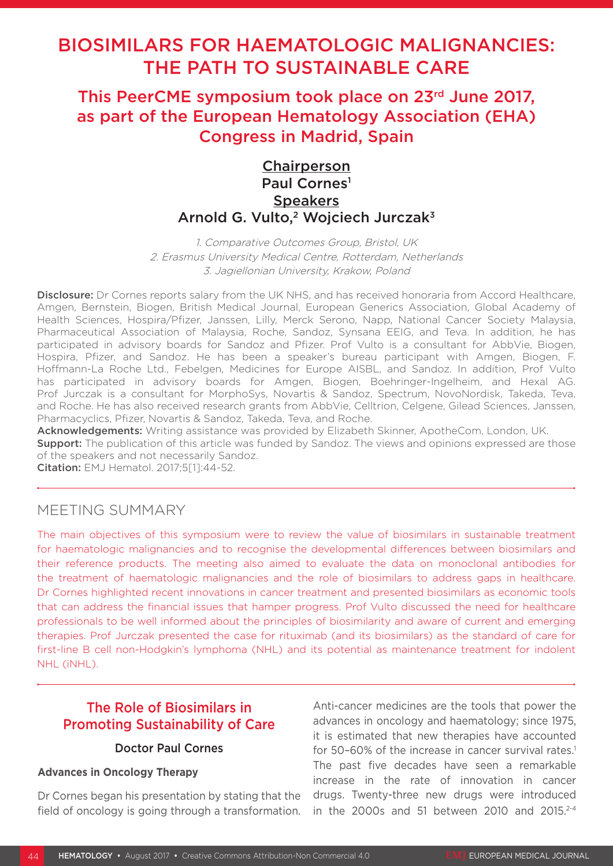# BIOSIMILARS FOR HAEMATOLOGIC MALIGNANCIES: THE PATH TO SUSTAINABLE CARE

This PeerCME symposium took place on 23rd June 2017, as part of the European Hematology Association (EHA) Congress in Madrid, Spain

## **Chairperson** Paul Cornes<sup>1</sup> **Speakers** Arnold G. Vulto,<sup>2</sup> Wojciech Jurczak<sup>3</sup>

1. Comparative Outcomes Group, Bristol, UK 2. Erasmus University Medical Centre, Rotterdam, Netherlands 3. Jagiellonian University, Krakow, Poland

Disclosure: Dr Cornes reports salary from the UK NHS, and has received honoraria from Accord Healthcare, Amgen, Bernstein, Biogen, British Medical Journal, European Generics Association, Global Academy of Health Sciences, Hospira/Pfizer, Janssen, Lilly, Merck Serono, Napp, National Cancer Society Malaysia, Pharmaceutical Association of Malaysia, Roche, Sandoz, Synsana EEIG, and Teva. In addition, he has participated in advisory boards for Sandoz and Pfizer. Prof Vulto is a consultant for AbbVie, Biogen, Hospira, Pfizer, and Sandoz. He has been a speaker's bureau participant with Amgen, Biogen, F. Hoffmann-La Roche Ltd., Febelgen, Medicines for Europe AISBL, and Sandoz. In addition, Prof Vulto has participated in advisory boards for Amgen, Biogen, Boehringer-Ingelheim, and Hexal AG. Prof Jurczak is a consultant for MorphoSys, Novartis & Sandoz, Spectrum, NovoNordisk, Takeda, Teva, and Roche. He has also received research grants from AbbVie, Celltrion, Celgene, Gilead Sciences, Janssen, Pharmacyclics, Pfizer, Novartis & Sandoz, Takeda, Teva, and Roche.

Acknowledgements: Writing assistance was provided by Elizabeth Skinner, ApotheCom, London, UK.

**Support:** The publication of this article was funded by Sandoz. The views and opinions expressed are those of the speakers and not necessarily Sandoz.

Citation: EMJ Hematol. 2017;5[1]:44-52.

## MEETING SUMMARY

The main objectives of this symposium were to review the value of biosimilars in sustainable treatment for haematologic malignancies and to recognise the developmental differences between biosimilars and their reference products. The meeting also aimed to evaluate the data on monoclonal antibodies for the treatment of haematologic malignancies and the role of biosimilars to address gaps in healthcare. Dr Cornes highlighted recent innovations in cancer treatment and presented biosimilars as economic tools that can address the financial issues that hamper progress. Prof Vulto discussed the need for healthcare professionals to be well informed about the principles of biosimilarity and aware of current and emerging therapies. Prof Jurczak presented the case for rituximab (and its biosimilars) as the standard of care for first-line B cell non-Hodgkin's lymphoma (NHL) and its potential as maintenance treatment for indolent NHL (iNHL).

## The Role of Biosimilars in Promoting Sustainability of Care

## Doctor Paul Cornes

#### **Advances in Oncology Therapy**

Dr Cornes began his presentation by stating that the field of oncology is going through a transformation.

Anti-cancer medicines are the tools that power the advances in oncology and haematology; since 1975, it is estimated that new therapies have accounted for 50–60% of the increase in cancer survival rates.<sup>1</sup> The past five decades have seen a remarkable increase in the rate of innovation in cancer drugs. Twenty-three new drugs were introduced in the 2000s and 51 between 2010 and 2015. $2-4$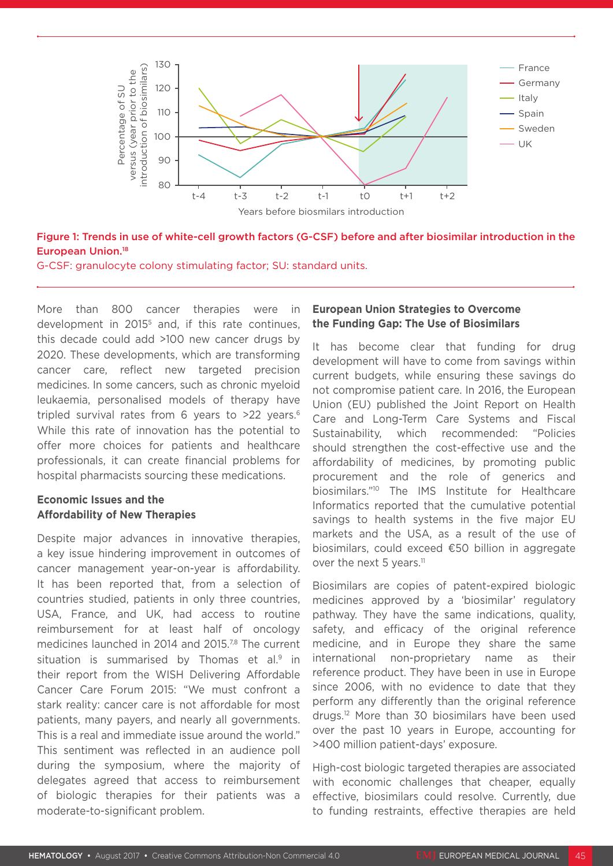

### Figure 1: Trends in use of white-cell growth factors (G-CSF) before and after biosimilar introduction in the European Union.18

G-CSF: granulocyte colony stimulating factor; SU: standard units.

More than 800 cancer therapies were in development in 2015<sup>5</sup> and, if this rate continues, this decade could add >100 new cancer drugs by 2020. These developments, which are transforming cancer care, reflect new targeted precision medicines. In some cancers, such as chronic myeloid leukaemia, personalised models of therapy have tripled survival rates from 6 years to >22 years.6 While this rate of innovation has the potential to offer more choices for patients and healthcare professionals, it can create financial problems for hospital pharmacists sourcing these medications.

## **Economic Issues and the Affordability of New Therapies**

Despite major advances in innovative therapies, a key issue hindering improvement in outcomes of cancer management year-on-year is affordability. It has been reported that, from a selection of countries studied, patients in only three countries, USA, France, and UK, had access to routine reimbursement for at least half of oncology medicines launched in 2014 and 2015.<sup>7,8</sup> The current situation is summarised by Thomas et al.<sup>9</sup> in their report from the WISH Delivering Affordable Cancer Care Forum 2015: "We must confront a stark reality: cancer care is not affordable for most patients, many payers, and nearly all governments. This is a real and immediate issue around the world." This sentiment was reflected in an audience poll during the symposium, where the majority of delegates agreed that access to reimbursement of biologic therapies for their patients was a moderate-to-significant problem.

## **European Union Strategies to Overcome the Funding Gap: The Use of Biosimilars**

It has become clear that funding for drug development will have to come from savings within current budgets, while ensuring these savings do not compromise patient care. In 2016, the European Union (EU) published the Joint Report on Health Care and Long-Term Care Systems and Fiscal Sustainability, which recommended: "Policies should strengthen the cost-effective use and the affordability of medicines, by promoting public procurement and the role of generics and biosimilars."10 The IMS Institute for Healthcare Informatics reported that the cumulative potential savings to health systems in the five major EU markets and the USA, as a result of the use of biosimilars, could exceed €50 billion in aggregate over the next 5 years.<sup>11</sup>

Biosimilars are copies of patent-expired biologic medicines approved by a 'biosimilar' regulatory pathway. They have the same indications, quality, safety, and efficacy of the original reference medicine, and in Europe they share the same international non-proprietary name as their reference product. They have been in use in Europe since 2006, with no evidence to date that they perform any differently than the original reference drugs.12 More than 30 biosimilars have been used over the past 10 years in Europe, accounting for >400 million patient-days' exposure.

High-cost biologic targeted therapies are associated with economic challenges that cheaper, equally effective, biosimilars could resolve. Currently, due to funding restraints, effective therapies are held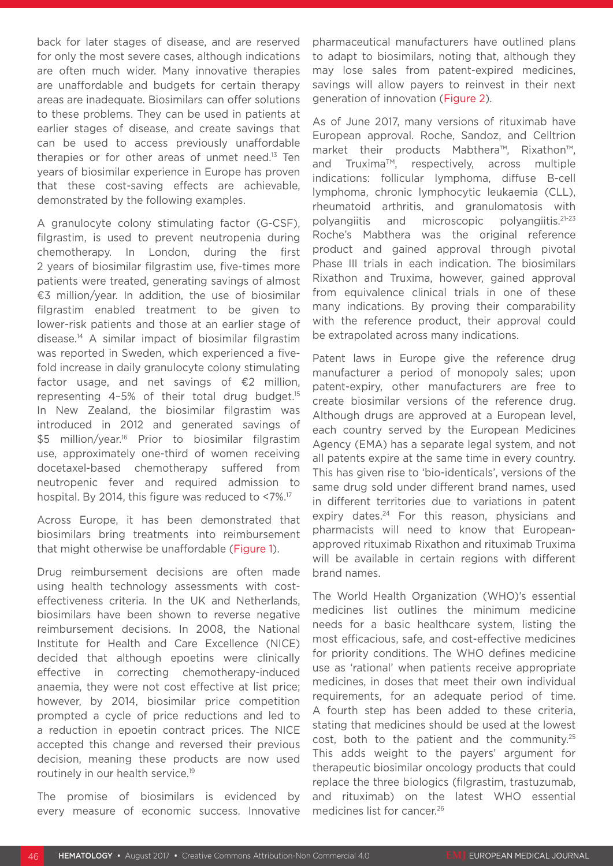back for later stages of disease, and are reserved for only the most severe cases, although indications are often much wider. Many innovative therapies are unaffordable and budgets for certain therapy areas are inadequate. Biosimilars can offer solutions to these problems. They can be used in patients at earlier stages of disease, and create savings that can be used to access previously unaffordable therapies or for other areas of unmet need.<sup>13</sup> Ten years of biosimilar experience in Europe has proven that these cost-saving effects are achievable, demonstrated by the following examples.

A granulocyte colony stimulating factor (G-CSF), filgrastim, is used to prevent neutropenia during chemotherapy. In London, during the first 2 years of biosimilar filgrastim use, five-times more patients were treated, generating savings of almost €3 million/year. In addition, the use of biosimilar filgrastim enabled treatment to be given to lower-risk patients and those at an earlier stage of disease.14 A similar impact of biosimilar filgrastim was reported in Sweden, which experienced a fivefold increase in daily granulocyte colony stimulating factor usage, and net savings of  $\epsilon$ 2 million, representing 4–5% of their total drug budget.15 In New Zealand, the biosimilar filgrastim was introduced in 2012 and generated savings of \$5 million/year.<sup>16</sup> Prior to biosimilar filgrastim use, approximately one-third of women receiving docetaxel-based chemotherapy suffered from neutropenic fever and required admission to hospital. By 2014, this figure was reduced to <7%.17

Across Europe, it has been demonstrated that biosimilars bring treatments into reimbursement that might otherwise be unaffordable (Figure 1).

Drug reimbursement decisions are often made using health technology assessments with costeffectiveness criteria. In the UK and Netherlands, biosimilars have been shown to reverse negative reimbursement decisions. In 2008, the National Institute for Health and Care Excellence (NICE) decided that although epoetins were clinically effective in correcting chemotherapy-induced anaemia, they were not cost effective at list price; however, by 2014, biosimilar price competition prompted a cycle of price reductions and led to a reduction in epoetin contract prices. The NICE accepted this change and reversed their previous decision, meaning these products are now used routinely in our health service.<sup>19</sup>

The promise of biosimilars is evidenced by every measure of economic success. Innovative pharmaceutical manufacturers have outlined plans to adapt to biosimilars, noting that, although they may lose sales from patent-expired medicines, savings will allow payers to reinvest in their next generation of innovation (Figure 2).

As of June 2017, many versions of rituximab have European approval. Roche, Sandoz, and Celltrion market their products Mabthera™, Rixathon™, and Truxima™, respectively, across multiple indications: follicular lymphoma, diffuse B-cell lymphoma, chronic lymphocytic leukaemia (CLL), rheumatoid arthritis, and granulomatosis with polyangiitis and microscopic polyangiitis.21-23 Roche's Mabthera was the original reference product and gained approval through pivotal Phase III trials in each indication. The biosimilars Rixathon and Truxima, however, gained approval from equivalence clinical trials in one of these many indications. By proving their comparability with the reference product, their approval could be extrapolated across many indications.

Patent laws in Europe give the reference drug manufacturer a period of monopoly sales; upon patent-expiry, other manufacturers are free to create biosimilar versions of the reference drug. Although drugs are approved at a European level, each country served by the European Medicines Agency (EMA) has a separate legal system, and not all patents expire at the same time in every country. This has given rise to 'bio-identicals', versions of the same drug sold under different brand names, used in different territories due to variations in patent expiry dates.<sup>24</sup> For this reason, physicians and pharmacists will need to know that Europeanapproved rituximab Rixathon and rituximab Truxima will be available in certain regions with different brand names.

The World Health Organization (WHO)'s essential medicines list outlines the minimum medicine needs for a basic healthcare system, listing the most efficacious, safe, and cost-effective medicines for priority conditions. The WHO defines medicine use as 'rational' when patients receive appropriate medicines, in doses that meet their own individual requirements, for an adequate period of time. A fourth step has been added to these criteria, stating that medicines should be used at the lowest cost, both to the patient and the community.25 This adds weight to the payers' argument for therapeutic biosimilar oncology products that could replace the three biologics (filgrastim, trastuzumab, and rituximab) on the latest WHO essential medicines list for cancer.<sup>26</sup>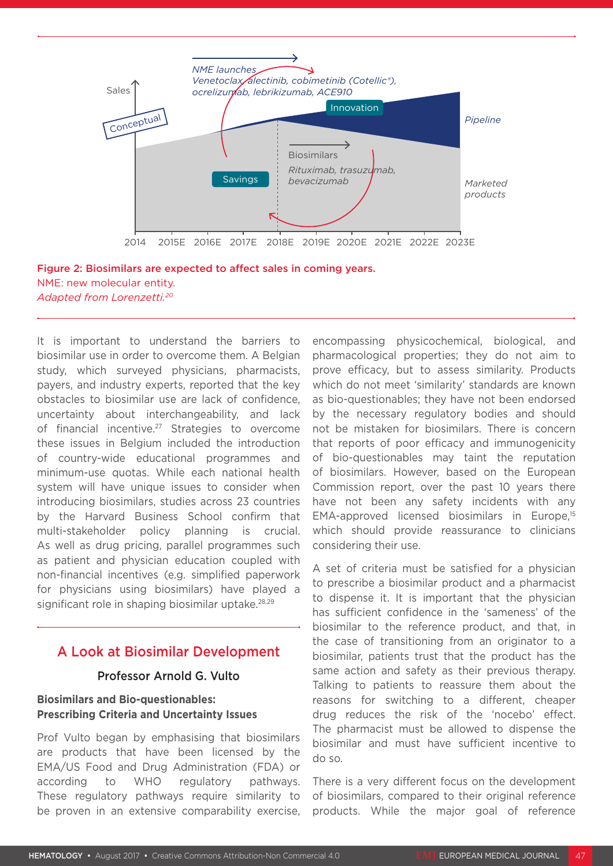

### Figure 2: Biosimilars are expected to affect sales in coming years. NME: new molecular entity. *Adapted from Lorenzetti.20*

It is important to understand the barriers to biosimilar use in order to overcome them. A Belgian study, which surveyed physicians, pharmacists, payers, and industry experts, reported that the key obstacles to biosimilar use are lack of confidence, uncertainty about interchangeability, and lack of financial incentive.27 Strategies to overcome these issues in Belgium included the introduction of country-wide educational programmes and minimum-use quotas. While each national health system will have unique issues to consider when introducing biosimilars, studies across 23 countries by the Harvard Business School confirm that multi-stakeholder policy planning is crucial. As well as drug pricing, parallel programmes such as patient and physician education coupled with non-financial incentives (e.g. simplified paperwork for physicians using biosimilars) have played a significant role in shaping biosimilar uptake.<sup>28,29</sup>

## A Look at Biosimilar Development

## Professor Arnold G. Vulto

## **Biosimilars and Bio-questionables: Prescribing Criteria and Uncertainty Issues**

Prof Vulto began by emphasising that biosimilars are products that have been licensed by the EMA/US Food and Drug Administration (FDA) or according to WHO regulatory pathways. These regulatory pathways require similarity to be proven in an extensive comparability exercise, encompassing physicochemical, biological, and pharmacological properties; they do not aim to prove efficacy, but to assess similarity. Products which do not meet 'similarity' standards are known as bio-questionables; they have not been endorsed by the necessary regulatory bodies and should not be mistaken for biosimilars. There is concern that reports of poor efficacy and immunogenicity of bio-questionables may taint the reputation of biosimilars. However, based on the European Commission report, over the past 10 years there have not been any safety incidents with any EMA-approved licensed biosimilars in Europe,15 which should provide reassurance to clinicians considering their use.

A set of criteria must be satisfied for a physician to prescribe a biosimilar product and a pharmacist to dispense it. It is important that the physician has sufficient confidence in the 'sameness' of the biosimilar to the reference product, and that, in the case of transitioning from an originator to a biosimilar, patients trust that the product has the same action and safety as their previous therapy. Talking to patients to reassure them about the reasons for switching to a different, cheaper drug reduces the risk of the 'nocebo' effect. The pharmacist must be allowed to dispense the biosimilar and must have sufficient incentive to do so.

There is a very different focus on the development of biosimilars, compared to their original reference products. While the major goal of reference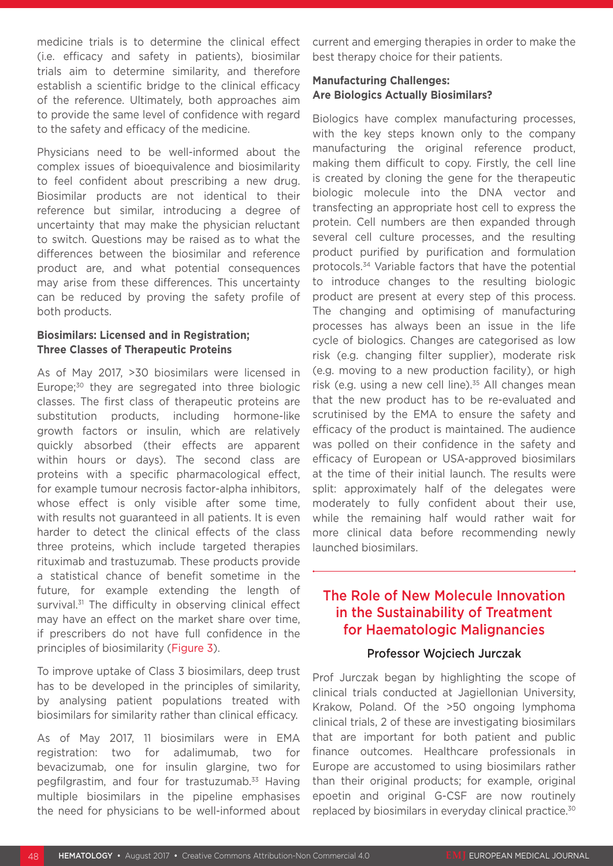medicine trials is to determine the clinical effect (i.e. efficacy and safety in patients), biosimilar trials aim to determine similarity, and therefore establish a scientific bridge to the clinical efficacy of the reference. Ultimately, both approaches aim to provide the same level of confidence with regard to the safety and efficacy of the medicine.

Physicians need to be well-informed about the complex issues of bioequivalence and biosimilarity to feel confident about prescribing a new drug. Biosimilar products are not identical to their reference but similar, introducing a degree of uncertainty that may make the physician reluctant to switch. Questions may be raised as to what the differences between the biosimilar and reference product are, and what potential consequences may arise from these differences. This uncertainty can be reduced by proving the safety profile of both products.

### **Biosimilars: Licensed and in Registration; Three Classes of Therapeutic Proteins**

As of May 2017, >30 biosimilars were licensed in Europe:<sup>30</sup> they are segregated into three biologic classes. The first class of therapeutic proteins are substitution products, including hormone-like growth factors or insulin, which are relatively quickly absorbed (their effects are apparent within hours or days). The second class are proteins with a specific pharmacological effect, for example tumour necrosis factor-alpha inhibitors, whose effect is only visible after some time, with results not guaranteed in all patients. It is even harder to detect the clinical effects of the class three proteins, which include targeted therapies rituximab and trastuzumab. These products provide a statistical chance of benefit sometime in the future, for example extending the length of survival.<sup>31</sup> The difficulty in observing clinical effect may have an effect on the market share over time, if prescribers do not have full confidence in the principles of biosimilarity (Figure 3).

To improve uptake of Class 3 biosimilars, deep trust has to be developed in the principles of similarity, by analysing patient populations treated with biosimilars for similarity rather than clinical efficacy.

As of May 2017, 11 biosimilars were in EMA registration: two for adalimumab, two for bevacizumab, one for insulin glargine, two for pegfilgrastim, and four for trastuzumab.33 Having multiple biosimilars in the pipeline emphasises the need for physicians to be well-informed about current and emerging therapies in order to make the best therapy choice for their patients.

## **Manufacturing Challenges: Are Biologics Actually Biosimilars?**

Biologics have complex manufacturing processes, with the key steps known only to the company manufacturing the original reference product, making them difficult to copy. Firstly, the cell line is created by cloning the gene for the therapeutic biologic molecule into the DNA vector and transfecting an appropriate host cell to express the protein. Cell numbers are then expanded through several cell culture processes, and the resulting product purified by purification and formulation protocols.34 Variable factors that have the potential to introduce changes to the resulting biologic product are present at every step of this process. The changing and optimising of manufacturing processes has always been an issue in the life cycle of biologics. Changes are categorised as low risk (e.g. changing filter supplier), moderate risk (e.g. moving to a new production facility), or high risk (e.g. using a new cell line). $35$  All changes mean that the new product has to be re-evaluated and scrutinised by the EMA to ensure the safety and efficacy of the product is maintained. The audience was polled on their confidence in the safety and efficacy of European or USA-approved biosimilars at the time of their initial launch. The results were split: approximately half of the delegates were moderately to fully confident about their use, while the remaining half would rather wait for more clinical data before recommending newly launched biosimilars.

## The Role of New Molecule Innovation in the Sustainability of Treatment for Haematologic Malignancies

## Professor Wojciech Jurczak

Prof Jurczak began by highlighting the scope of clinical trials conducted at Jagiellonian University, Krakow, Poland. Of the >50 ongoing lymphoma clinical trials, 2 of these are investigating biosimilars that are important for both patient and public finance outcomes. Healthcare professionals in Europe are accustomed to using biosimilars rather than their original products; for example, original epoetin and original G-CSF are now routinely replaced by biosimilars in everyday clinical practice.30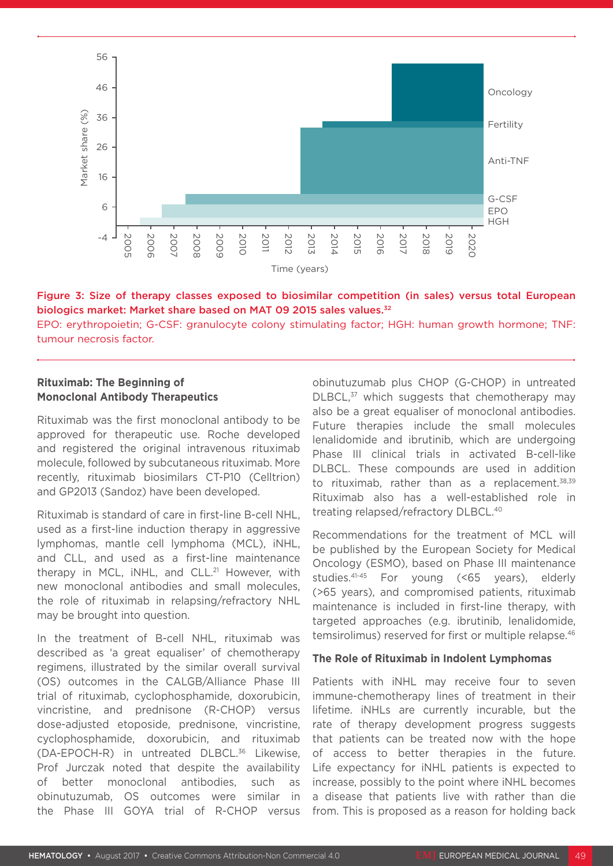

#### Figure 3: Size of therapy classes exposed to biosimilar competition (in sales) versus total European biologics market: Market share based on MAT 09 2015 sales values.<sup>32</sup>

EPO: erythropoietin; G-CSF: granulocyte colony stimulating factor; HGH: human growth hormone; TNF: tumour necrosis factor.

### **Rituximab: The Beginning of Monoclonal Antibody Therapeutics**

Rituximab was the first monoclonal antibody to be approved for therapeutic use. Roche developed and registered the original intravenous rituximab molecule, followed by subcutaneous rituximab. More recently, rituximab biosimilars CT-P10 (Celltrion) and GP2013 (Sandoz) have been developed.

Rituximab is standard of care in first-line B-cell NHL, used as a first-line induction therapy in aggressive lymphomas, mantle cell lymphoma (MCL), iNHL, and CLL, and used as a first-line maintenance therapy in MCL, iNHL, and CLL.<sup>21</sup> However, with new monoclonal antibodies and small molecules, the role of rituximab in relapsing/refractory NHL may be brought into question.

In the treatment of B-cell NHL, rituximab was described as 'a great equaliser' of chemotherapy regimens, illustrated by the similar overall survival (OS) outcomes in the CALGB/Alliance Phase III trial of rituximab, cyclophosphamide, doxorubicin, vincristine, and prednisone (R-CHOP) versus dose-adjusted etoposide, prednisone, vincristine, cyclophosphamide, doxorubicin, and rituximab (DA-EPOCH-R) in untreated DLBCL.36 Likewise, Prof Jurczak noted that despite the availability better monoclonal antibodies, such as obinutuzumab, OS outcomes were similar in the Phase III GOYA trial of R-CHOP versus obinutuzumab plus CHOP (G-CHOP) in untreated DLBCL<sup>37</sup> which suggests that chemotherapy may also be a great equaliser of monoclonal antibodies. Future therapies include the small molecules lenalidomide and ibrutinib, which are undergoing Phase III clinical trials in activated B-cell-like DLBCL. These compounds are used in addition to rituximab, rather than as a replacement.<sup>38,39</sup> Rituximab also has a well-established role in treating relapsed/refractory DLBCL.40

Recommendations for the treatment of MCL will be published by the European Society for Medical Oncology (ESMO), based on Phase III maintenance studies.41-45 For young (<65 years), elderly (>65 years), and compromised patients, rituximab maintenance is included in first-line therapy, with targeted approaches (e.g. ibrutinib, lenalidomide, temsirolimus) reserved for first or multiple relapse.<sup>46</sup>

#### **The Role of Rituximab in Indolent Lymphomas**

Patients with iNHL may receive four to seven immune-chemotherapy lines of treatment in their lifetime. iNHLs are currently incurable, but the rate of therapy development progress suggests that patients can be treated now with the hope of access to better therapies in the future. Life expectancy for iNHL patients is expected to increase, possibly to the point where iNHL becomes a disease that patients live with rather than die from. This is proposed as a reason for holding back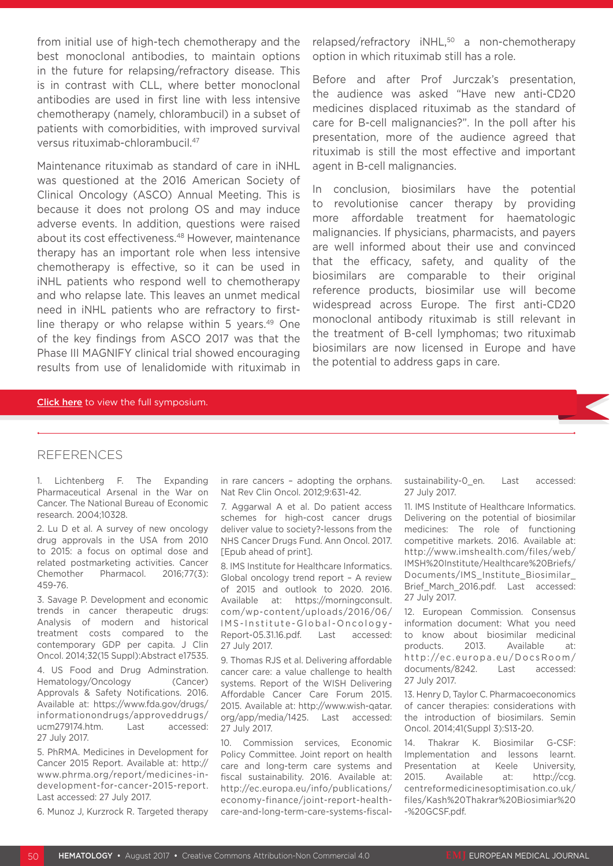from initial use of high-tech chemotherapy and the best monoclonal antibodies, to maintain options in the future for relapsing/refractory disease. This is in contrast with CLL, where better monoclonal antibodies are used in first line with less intensive chemotherapy (namely, chlorambucil) in a subset of patients with comorbidities, with improved survival versus rituximab-chlorambucil.47

Maintenance rituximab as standard of care in iNHL was questioned at the 2016 American Society of Clinical Oncology (ASCO) Annual Meeting. This is because it does not prolong OS and may induce adverse events. In addition, questions were raised about its cost effectiveness.<sup>48</sup> However, maintenance therapy has an important role when less intensive chemotherapy is effective, so it can be used in iNHL patients who respond well to chemotherapy and who relapse late. This leaves an unmet medical need in iNHL patients who are refractory to firstline therapy or who relapse within 5 years. $49$  One of the key findings from ASCO 2017 was that the Phase III MAGNIFY clinical trial showed encouraging results from use of lenalidomide with rituximab in relapsed/refractory iNHL,<sup>50</sup> a non-chemotherapy option in which rituximab still has a role.

Before and after Prof Jurczak's presentation, the audience was asked "Have new anti-CD20 medicines displaced rituximab as the standard of care for B-cell malignancies?". In the poll after his presentation, more of the audience agreed that rituximab is still the most effective and important agent in B-cell malignancies.

In conclusion, biosimilars have the potential to revolutionise cancer therapy by providing more affordable treatment for haematologic malignancies. If physicians, pharmacists, and payers are well informed about their use and convinced that the efficacy, safety, and quality of the biosimilars are comparable to their original reference products, biosimilar use will become widespread across Europe. The first anti-CD20 monoclonal antibody rituximab is still relevant in the treatment of B-cell lymphomas; two rituximab biosimilars are now licensed in Europe and have the potential to address gaps in care.

#### Click here to view the full symposium.

#### **REFERENCES**

1. Lichtenberg F. The Expanding Pharmaceutical Arsenal in the War on Cancer. The National Bureau of Economic research. 2004;10328.

2. Lu D et al. A survey of new oncology drug approvals in the USA from 2010 to 2015: a focus on optimal dose and related postmarketing activities. Cancer Chemother Pharmacol. 2016;77(3): 459-76.

3. Savage P. Development and economic trends in cancer therapeutic drugs: Analysis of modern and historical treatment costs compared to the contemporary GDP per capita. J Clin Oncol. 2014;32(15 Suppl):Abstract e17535.

4. US Food and Drug Adminstration. Hematology/Oncology (Cancer) Approvals & Safety Notifications. 2016. Available at: https://www.fda.gov/drugs/ informationondrugs/approveddrugs/ ucm279174.htm. Last accessed: 27 July 2017.

5. PhRMA. Medicines in Development for Cancer 2015 Report. Available at: http:// www.phrma.org/report/medicines-indevelopment-for-cancer-2015-report. Last accessed: 27 July 2017.

6. Munoz J, Kurzrock R. Targeted therapy

in rare cancers – adopting the orphans. Nat Rev Clin Oncol. 2012;9:631-42.

7. Aggarwal A et al. Do patient access schemes for high-cost cancer drugs deliver value to society?-lessons from the NHS Cancer Drugs Fund. Ann Oncol. 2017. [Epub ahead of print].

8. IMS Institute for Healthcare Informatics. Global oncology trend report – A review of 2015 and outlook to 2020. 2016. Available at: https://morningconsult. com/wp-content/uploads/2016/06/ IMS-Institute-Global-Oncology-Report-05.31.16.pdf. Last accessed: 27 July 2017.

9. Thomas RJS et al. Delivering affordable cancer care: a value challenge to health systems. Report of the WISH Delivering Affordable Cancer Care Forum 2015. 2015. Available at: http://www.wish-qatar. org/app/media/1425. Last accessed: 27 July 2017.

10. Commission services, Economic Policy Committee. Joint report on health care and long-term care systems and fiscal sustainability. 2016. Available at: http://ec.europa.eu/info/publications/ economy-finance/joint-report-healthcare-and-long-term-care-systems-fiscalsustainability-0 en. Last accessed: 27 July 2017.

11. IMS Institute of Healthcare Informatics. Delivering on the potential of biosimilar medicines: The role of functioning competitive markets. 2016. Available at: http://www.imshealth.com/files/web/ IMSH%20Institute/Healthcare%20Briefs/ Documents/IMS\_Institute\_Biosimilar\_ Brief March 2016.pdf. Last accessed: 27 July 2017.

12. European Commission. Consensus information document: What you need to know about biosimilar medicinal products. 2013. Available at: http://ec.europa.eu/DocsRoom/ documents/8242. Last accessed: 27 July 2017.

13. Henry D, Taylor C. Pharmacoeconomics of cancer therapies: considerations with the introduction of biosimilars. Semin Oncol. 2014;41(Suppl 3):S13-20.

14. Thakrar K. Biosimilar G-CSF: Implementation and lessons learnt. Presentation at Keele University, 2015. Available at: http://ccg. centreformedicinesoptimisation.co.uk/ files/Kash%20Thakrar%20Biosimiar%20 -%20GCSF.pdf.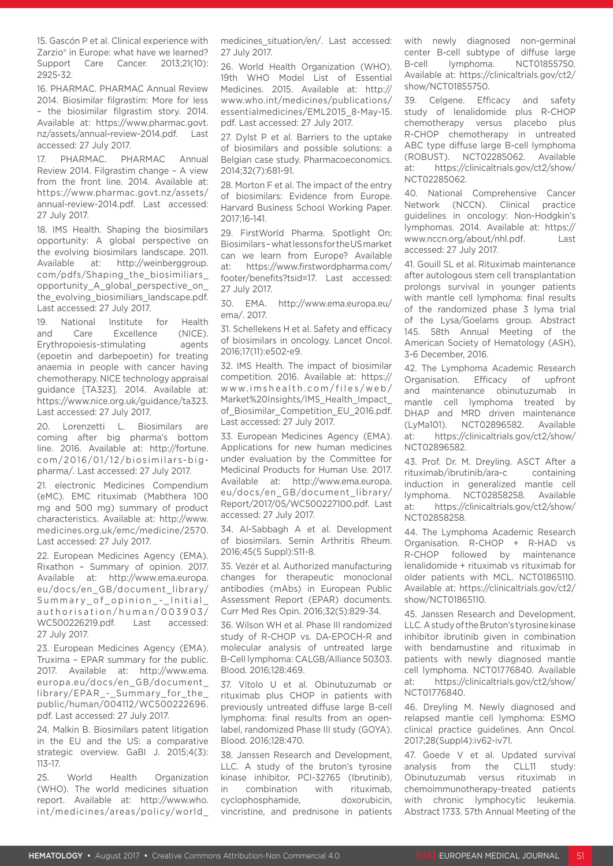15. Gascón P et al. Clinical experience with Zarzio<sup>®</sup> in Europe: what have we learned? Support Care Cancer. 2013;21(10): 2925-32.

16. PHARMAC. PHARMAC Annual Review 2014. Biosimilar filgrastim: More for less – the biosimilar filgrastim story. 2014. Available at: https://www.pharmac.govt. nz/assets/annual-review-2014.pdf. Last accessed: 27 July 2017.

17. PHARMAC. PHARMAC Annual Review 2014. Filgrastim change – A view from the front line. 2014. Available at: https://www.pharmac.govt.nz/assets/ annual-review-2014.pdf. Last accessed: 27 July 2017.

18. IMS Health. Shaping the biosimilars opportunity: A global perspective on the evolving biosimilars landscape. 2011. Available at: http://weinberggroup. com/pdfs/Shaping\_the\_biosimiliars\_ opportunity\_A\_global\_perspective\_on\_ the evolving biosimiliars landscape.pdf. Last accessed: 27 July 2017.

19. National Institute for Health and Care Excellence (NICE). Erythropoiesis-stimulating agents (epoetin and darbepoetin) for treating anaemia in people with cancer having chemotherapy. NICE technology appraisal guidance [TA323]. 2014. Available at: https://www.nice.org.uk/guidance/ta323. Last accessed: 27 July 2017.

20. Lorenzetti L. Biosimilars are coming after big pharma's bottom line. 2016. Available at: http://fortune. com/2016/01/12/biosimilars-bigpharma/. Last accessed: 27 July 2017.

21. electronic Medicines Compendium (eMC). EMC rituximab (Mabthera 100 mg and 500 mg) summary of product characteristics. Available at: http://www. medicines.org.uk/emc/medicine/2570. Last accessed: 27 July 2017.

22. European Medicines Agency (EMA). Rixathon – Summary of opinion. 2017. Available at: http://www.ema.europa. eu/docs/en\_GB/document\_library/ Summary\_of\_opinion\_-\_Initial\_ authorisation/human/003903/ WC500226219.pdf. Last accessed: 27 July 2017.

23. European Medicines Agency (EMA). Truxima – EPAR summary for the public. 2017. Available at: http://www.ema. europa.eu/docs/en\_GB/document\_ library/EPAR\_-\_Summary\_for\_the\_ public/human/004112/WC500222696. pdf. Last accessed: 27 July 2017.

24. Malkin B. Biosimilars patent litigation in the EU and the US: a comparative strategic overview. GaBI J. 2015;4(3): 113-17.

25. World Health Organization (WHO). The world medicines situation report. Available at: http://www.who. int/medicines/areas/policy/world\_

medicines\_situation/en/. Last accessed: 27 July 2017.

26. World Health Organization (WHO). 19th WHO Model List of Essential Medicines. 2015. Available at: http:// www.who.int/medicines/publications/ essentialmedicines/EML2015\_8-May-15. pdf. Last accessed: 27 July 2017.

27. Dylst P et al. Barriers to the uptake of biosimilars and possible solutions: a Belgian case study. Pharmacoeconomics. 2014;32(7):681-91.

28. Morton F et al. The impact of the entry of biosimilars: Evidence from Europe. Harvard Business School Working Paper. 2017;16-141.

29. FirstWorld Pharma. Spotlight On: Biosimilars – what lessons for the US market can we learn from Europe? Available at: https://www.firstwordpharma.com/ footer/benefits?tsid=17. Last accessed: 27 July 2017.

30. EMA. http://www.ema.europa.eu/ ema/. 2017.

31. Schellekens H et al. Safety and efficacy of biosimilars in oncology. Lancet Oncol. 2016;17(11):e502-e9.

32. IMS Health. The impact of biosimilar competition. 2016. Available at: https:// www.imshealth.com/files/web/ Market%20Insights/IMS\_Health\_Impact\_ of\_Biosimilar\_Competition\_EU\_2016.pdf. Last accessed: 27 July 2017.

33. European Medicines Agency (EMA). Applications for new human medicines under evaluation by the Committee for Medicinal Products for Human Use. 2017. Available at: http://www.ema.europa. eu/docs/en\_GB/document\_library/ Report/2017/05/WC500227100.pdf. Last accessed: 27 July 2017.

34. Al-Sabbagh A et al. Development of biosimilars. Semin Arthritis Rheum. 2016;45(5 Suppl):S11-8.

35. Vezér et al. Authorized manufacturing changes for therapeutic monoclonal antibodies (mAbs) in European Public Assessment Report (EPAR) documents. Curr Med Res Opin. 2016;32(5):829-34.

36. Wilson WH et al. Phase III randomized study of R-CHOP vs. DA-EPOCH-R and molecular analysis of untreated large B-Cell lymphoma: CALGB/Alliance 50303. Blood. 2016;128:469.

37. Vitolo U et al. Obinutuzumab or rituximab plus CHOP in patients with previously untreated diffuse large B-cell lymphoma: final results from an openlabel, randomized Phase III study (GOYA). Blood. 2016;128:470.

38. Janssen Research and Development, LLC. A study of the bruton's tyrosine kinase inhibitor, PCI-32765 (Ibrutinib), in combination with rituximab, cyclophosphamide, doxorubicin, vincristine, and prednisone in patients

with newly diagnosed non-germinal center B-cell subtype of diffuse large B-cell lymphoma. NCT01855750. Available at: https://clinicaltrials.gov/ct2/ show/NCT01855750.

39. Celgene. Efficacy and safety study of lenalidomide plus R-CHOP chemotherapy versus placebo plus R-CHOP chemotherapy in untreated ABC type diffuse large B-cell lymphoma (ROBUST). NCT02285062. Available at: https://clinicaltrials.gov/ct2/show/ NCT02285062.

40. National Comprehensive Cancer Network (NCCN). Clinical practice guidelines in oncology: Non-Hodgkin's lymphomas. 2014. Available at: https:// www.nccn.org/about/nhl.pdf. Last accessed: 27 July 2017.

41. Gouill SL et al. Rituximab maintenance after autologous stem cell transplantation prolongs survival in younger patients with mantle cell lymphoma: final results of the randomized phase 3 lyma trial of the Lysa/Goelams group. Abstract 145. 58th Annual Meeting of the American Society of Hematology (ASH), 3-6 December, 2016.

42. The Lymphoma Academic Research Organisation. Efficacy of upfront and maintenance obinutuzumab in mantle cell lymphoma treated by DHAP and MRD driven maintenance (LyMa101). NCT02896582. Available at: https://clinicaltrials.gov/ct2/show/ NCT02896582.

43. Prof. Dr. M. Dreyling. ASCT After a rituximab/ibrutinib/ara-c containing induction in generalized mantle cell lymphoma. NCT02858258. Available at: https://clinicaltrials.gov/ct2/show/ NCT02858258.

44. The Lymphoma Academic Research Organisation. R-CHOP + R-HAD vs R-CHOP followed by maintenance lenalidomide + rituximab vs rituximab for older patients with MCL. NCT01865110. Available at: https://clinicaltrials.gov/ct2/ show/NCT01865110.

45. Janssen Research and Development, LLC. A study of the Bruton's tyrosine kinase inhibitor ibrutinib given in combination with bendamustine and rituximab in patients with newly diagnosed mantle cell lymphoma. NCT01776840. Available at: https://clinicaltrials.gov/ct2/show/ NCT01776840.

46. Dreyling M. Newly diagnosed and relapsed mantle cell lymphoma: ESMO clinical practice guidelines. Ann Oncol. 2017;28(Suppl4):iv62-iv71.

47. Goede V et al. Updated survival analysis from the CLL11 study: Obinutuzumab versus rituximab in chemoimmunotherapy-treated patients with chronic lymphocytic leukemia. Abstract 1733. 57th Annual Meeting of the